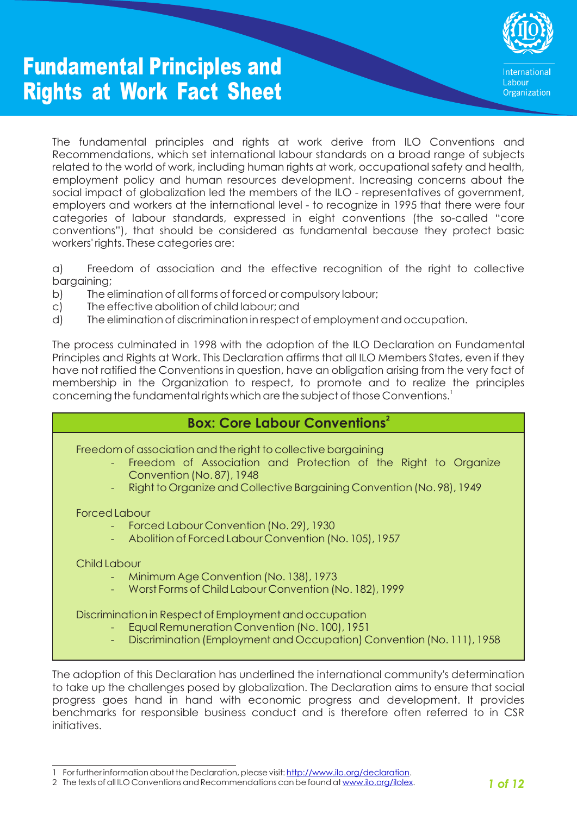# Fundamental Principles and Rights at Work Fact Sheet



The fundamental principles and rights at work derive from ILO Conventions and Recommendations, which set international labour standards on a broad range of subjects related to the world of work, including human rights at work, occupational safety and health, employment policy and human resources development. Increasing concerns about the social impact of globalization led the members of the ILO - representatives of government, employers and workers at the international level - to recognize in 1995 that there were four categories of labour standards, expressed in eight conventions (the so-called "core conventions"), that should be considered as fundamental because they protect basic workers' rights. These categories are:

a) Freedom of association and the effective recognition of the right to collective bargaining;

- b) The elimination of all forms of forced or compulsory labour;
- c) The effective abolition of child labour; and
- d) The elimination of discrimination in respect of employment and occupation.

The process culminated in 1998 with the adoption of the ILO Declaration on Fundamental Principles and Rights at Work. This Declaration affirms that all ILO Members States, even if they have not ratified the Conventions in question, have an obligation arising from the very fact of membership in the Organization to respect, to promote and to realize the principles concerning the fundamental rights which are the subject of those Conventions.

#### **2 Box: Core Labour Conventions**

Freedom of association and the right to collective bargaining

- Freedom of Association and Protection of the Right to Organize Convention (No. 87), 1948
- Right to Organize and Collective Bargaining Convention (No. 98), 1949

Forced Labour

- Forced Labour Convention (No. 29), 1930
- Abolition of Forced Labour Convention (No. 105), 1957

Child Labour

- Minimum Age Convention (No. 138), 1973
- Worst Forms of Child Labour Convention (No. 182), 1999

Discrimination in Respect of Employment and occupation

- Equal Remuneration Convention (No. 100), 1951
- Discrimination (Employment and Occupation) Convention (No. 111), 1958

The adoption of this Declaration has underlined the international community's determination to take up the challenges posed by globalization. The Declaration aims to ensure that social progress goes hand in hand with economic progress and development. It provides benchmarks for responsible business conduct and is therefore often referred to in CSR initiatives.

1 For further information about the Declaration, please visit: http://www.ilo.org/declaration.

2 The texts of all ILO Conventions and Recommendations can be found at <u>www.ilo.org/ilolex</u>. **1 of 12**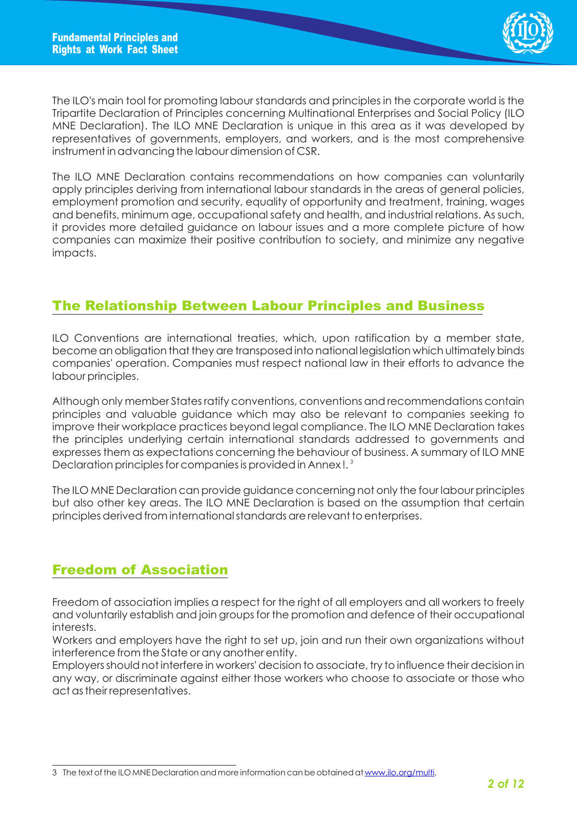

The ILO's main tool for promoting labour standards and principles in the corporate world is the Tripartite Declaration of Principles concerning Multinational Enterprises and Social Policy (ILO MNE Declaration). The ILO MNE Declaration is unique in this area as it was developed by representatives of governments, employers, and workers, and is the most comprehensive instrument in advancing the labour dimension of CSR.

The ILO MNE Declaration contains recommendations on how companies can voluntarily apply principles deriving from international labour standards in the areas of general policies, employment promotion and security, equality of opportunity and treatment, training, wages and benefits, minimum age, occupational safety and health, and industrial relations. As such, it provides more detailed guidance on labour issues and a more complete picture of how companies can maximize their positive contribution to society, and minimize any negative impacts.

### The Relationship Between Labour Principles and Business

ILO Conventions are international treaties, which, upon ratification by a member state, become an obligation that they are transposed into national legislation which ultimately binds companies' operation. Companies must respect national law in their efforts to advance the labour principles.

Although only member States ratify conventions, conventions and recommendations contain principles and valuable guidance which may also be relevant to companies seeking to improve their workplace practices beyond legal compliance. The ILO MNE Declaration takes the principles underlying certain international standards addressed to governments and expresses them as expectations concerning the behaviour of business. A summary of ILO MNE Declaration principles for companies is provided in Annex !.

The ILO MNE Declaration can provide guidance concerning not only the four labour principles but also other key areas. The ILO MNE Declaration is based on the assumption that certain principles derived from international standards are relevant to enterprises.

### Freedom of Association

Freedom of association implies a respect for the right of all employers and all workers to freely and voluntarily establish and join groups for the promotion and defence of their occupational interests.

Workers and employers have the right to set up, join and run their own organizations without interference from the State or any another entity.

Employers should not interfere in workers' decision to associate, try to influence their decision in any way, or discriminate against either those workers who choose to associate or those who act as their representatives.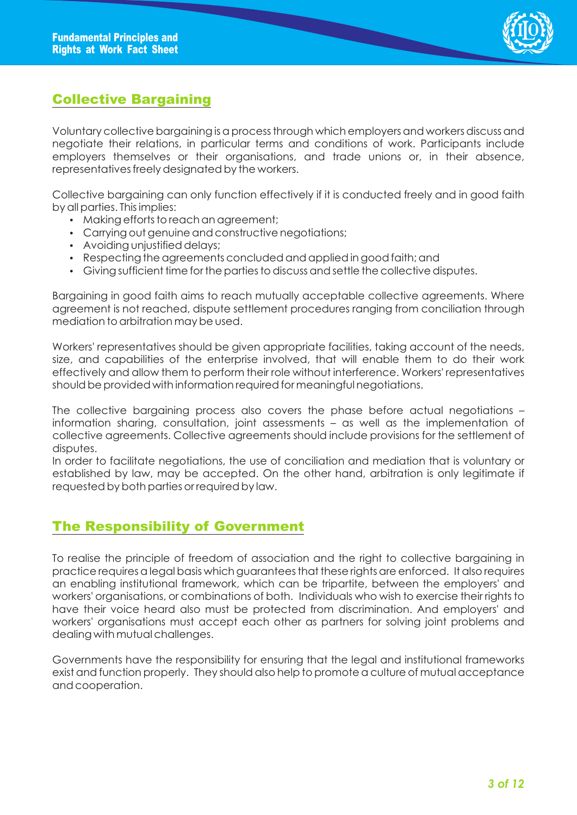

## Collective Bargaining

Voluntary collective bargaining is a process through which employers and workers discuss and negotiate their relations, in particular terms and conditions of work. Participants include employers themselves or their organisations, and trade unions or, in their absence, representatives freely designated by the workers.

Collective bargaining can only function effectively if it is conducted freely and in good faith by all parties. This implies:

- Making efforts to reach an agreement;
- Carrying out genuine and constructive negotiations;
- Avoiding unjustified delays;
- Respecting the agreements concluded and applied in good faith; and
- Giving sufficient time for the parties to discuss and settle the collective disputes.

Bargaining in good faith aims to reach mutually acceptable collective agreements. Where agreement is not reached, dispute settlement procedures ranging from conciliation through mediation to arbitration may be used.

Workers' representatives should be given appropriate facilities, taking account of the needs, size, and capabilities of the enterprise involved, that will enable them to do their work effectively and allow them to perform their role without interference. Workers' representatives should be provided with information required for meaningful negotiations.

The collective bargaining process also covers the phase before actual negotiations – information sharing, consultation, joint assessments – as well as the implementation of collective agreements. Collective agreements should include provisions for the settlement of disputes.

In order to facilitate negotiations, the use of conciliation and mediation that is voluntary or established by law, may be accepted. On the other hand, arbitration is only legitimate if requested by both parties or required by law.

#### The Responsibility of Government

To realise the principle of freedom of association and the right to collective bargaining in practice requires a legal basis which guarantees that these rights are enforced. It also requires an enabling institutional framework, which can be tripartite, between the employers' and workers' organisations, or combinations of both. Individuals who wish to exercise their rights to have their voice heard also must be protected from discrimination. And employers' and workers' organisations must accept each other as partners for solving joint problems and dealing with mutual challenges.

Governments have the responsibility for ensuring that the legal and institutional frameworks exist and function properly. They should also help to promote a culture of mutual acceptance and cooperation.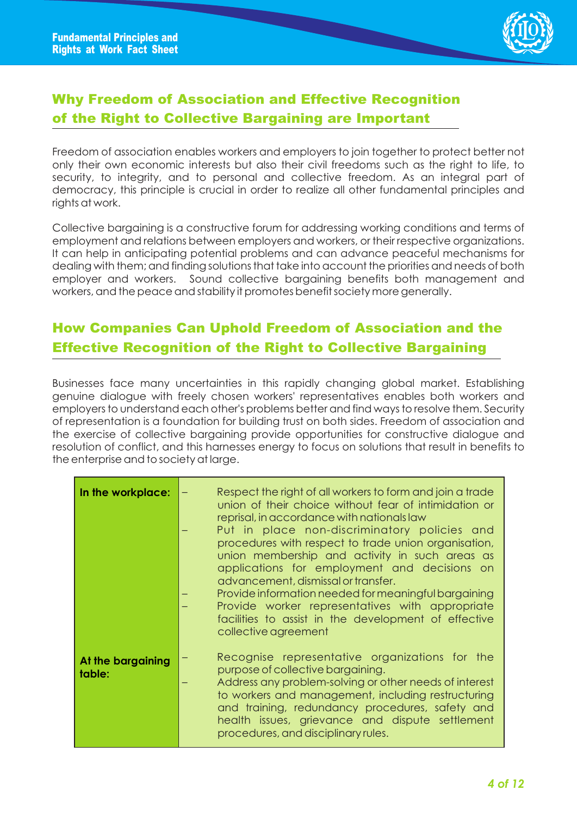

# Why Freedom of Association and Effective Recognition of the Right to Collective Bargaining are Important

Freedom of association enables workers and employers to join together to protect better not only their own economic interests but also their civil freedoms such as the right to life, to security, to integrity, and to personal and collective freedom. As an integral part of democracy, this principle is crucial in order to realize all other fundamental principles and rights at work.

Collective bargaining is a constructive forum for addressing working conditions and terms of employment and relations between employers and workers, or their respective organizations. It can help in anticipating potential problems and can advance peaceful mechanisms for dealing with them; and finding solutions that take into account the priorities and needs of both employer and workers. Sound collective bargaining benefits both management and workers, and the peace and stability it promotes benefit society more generally.

## How Companies Can Uphold Freedom of Association and the Effective Recognition of the Right to Collective Bargaining

Businesses face many uncertainties in this rapidly changing global market. Establishing genuine dialogue with freely chosen workers' representatives enables both workers and employers to understand each other's problems better and find ways to resolve them. Security of representation is a foundation for building trust on both sides. Freedom of association and the exercise of collective bargaining provide opportunities for constructive dialogue and resolution of conflict, and this harnesses energy to focus on solutions that result in benefits to the enterprise and to society at large.

| In the workplace:           | Respect the right of all workers to form and join a trade<br>union of their choice without fear of intimidation or<br>reprisal, in accordance with nationals law<br>Put in place non-discriminatory policies and<br>procedures with respect to trade union organisation,<br>union membership and activity in such areas as<br>applications for employment and decisions on<br>advancement, dismissal or transfer.<br>Provide information needed for meaningful bargaining<br>Provide worker representatives with appropriate<br>facilities to assist in the development of effective<br>collective agreement |
|-----------------------------|--------------------------------------------------------------------------------------------------------------------------------------------------------------------------------------------------------------------------------------------------------------------------------------------------------------------------------------------------------------------------------------------------------------------------------------------------------------------------------------------------------------------------------------------------------------------------------------------------------------|
| At the bargaining<br>table: | Recognise representative organizations for the<br>purpose of collective bargaining.<br>Address any problem-solving or other needs of interest<br>to workers and management, including restructuring<br>and training, redundancy procedures, safety and<br>health issues, grievance and dispute settlement<br>procedures, and disciplinary rules.                                                                                                                                                                                                                                                             |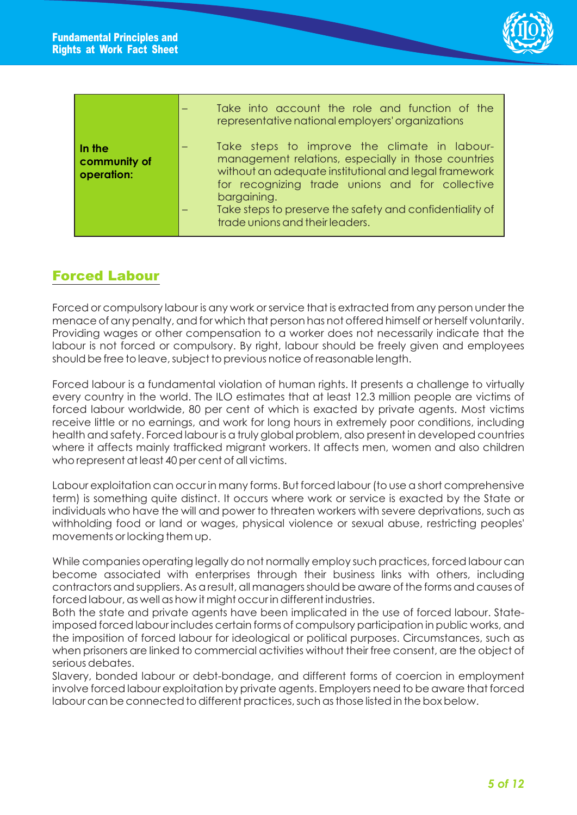

|                                      | Take into account the role and function of the<br>representative national employers' organizations                                                                                                                                                                                                                            |
|--------------------------------------|-------------------------------------------------------------------------------------------------------------------------------------------------------------------------------------------------------------------------------------------------------------------------------------------------------------------------------|
| In the<br>community of<br>operation: | Take steps to improve the climate in labour-<br>management relations, especially in those countries<br>without an adequate institutional and legal framework<br>for recognizing trade unions and for collective<br>bargaining.<br>Take steps to preserve the safety and confidentiality of<br>trade unions and their leaders. |

## Forced Labour

Forced or compulsory labour is any work or service that is extracted from any person under the menace of any penalty, and for which that person has not offered himself or herself voluntarily. Providing wages or other compensation to a worker does not necessarily indicate that the labour is not forced or compulsory. By right, labour should be freely given and employees should be free to leave, subject to previous notice of reasonable length.

Forced labour is a fundamental violation of human rights. It presents a challenge to virtually every country in the world. The ILO estimates that at least 12.3 million people are victims of forced labour worldwide, 80 per cent of which is exacted by private agents. Most victims receive little or no earnings, and work for long hours in extremely poor conditions, including health and safety. Forced labour is a truly global problem, also present in developed countries where it affects mainly trafficked migrant workers. It affects men, women and also children who represent at least 40 per cent of all victims.

Labour exploitation can occur in many forms. But forced labour (to use a short comprehensive term) is something quite distinct. It occurs where work or service is exacted by the State or individuals who have the will and power to threaten workers with severe deprivations, such as withholding food or land or wages, physical violence or sexual abuse, restricting peoples' movements or locking them up.

While companies operating legally do not normally employ such practices, forced labour can become associated with enterprises through their business links with others, including contractors and suppliers. As a result, all managers should be aware of the forms and causes of forced labour, as well as how it might occur in different industries.

Both the state and private agents have been implicated in the use of forced labour. Stateimposed forced labour includes certain forms of compulsory participation in public works, and the imposition of forced labour for ideological or political purposes. Circumstances, such as when prisoners are linked to commercial activities without their free consent, are the object of serious debates.

Slavery, bonded labour or debt-bondage, and different forms of coercion in employment involve forced labour exploitation by private agents. Employers need to be aware that forced labour can be connected to different practices, such as those listed in the box below.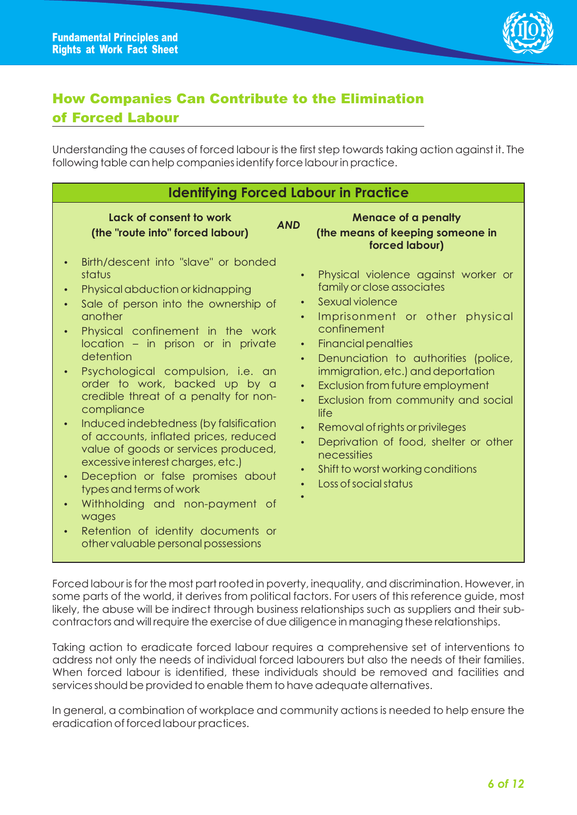

# How Companies Can Contribute to the Elimination of Forced Labour

Understanding the causes of forced labour is the first step towards taking action against it. The following table can help companies identify force labour in practice.

| <b>Identifying Forced Labour in Practice</b>                                                                                                                                                                                                                                                                                                                                                                                                                                                                                                                                                                                                                                                                                                                                                                                                                     |                                                                                                                                                                                                                                                                                                                                                                                                                                                                                               |  |
|------------------------------------------------------------------------------------------------------------------------------------------------------------------------------------------------------------------------------------------------------------------------------------------------------------------------------------------------------------------------------------------------------------------------------------------------------------------------------------------------------------------------------------------------------------------------------------------------------------------------------------------------------------------------------------------------------------------------------------------------------------------------------------------------------------------------------------------------------------------|-----------------------------------------------------------------------------------------------------------------------------------------------------------------------------------------------------------------------------------------------------------------------------------------------------------------------------------------------------------------------------------------------------------------------------------------------------------------------------------------------|--|
| Lack of consent to work<br><b>AND</b><br>(the "route into" forced labour)                                                                                                                                                                                                                                                                                                                                                                                                                                                                                                                                                                                                                                                                                                                                                                                        | <b>Menace of a penalty</b><br>(the means of keeping someone in<br>forced labour)                                                                                                                                                                                                                                                                                                                                                                                                              |  |
| Birth/descent into "slave" or bonded<br>status<br>$\bullet$<br>Physical abduction or kidnapping<br>Sale of person into the ownership of<br>$\bullet$<br>another<br>$\bullet$<br>Physical confinement in the work<br>location - in prison or in private<br>$\bullet$<br>detention<br>$\bullet$<br>Psychological compulsion, i.e. an<br>order to work, backed up by a<br>$\bullet$<br>credible threat of a penalty for non-<br>$\bullet$<br>compliance<br>Induced indebtedness (by falsification<br>$\bullet$<br>of accounts, inflated prices, reduced<br>$\bullet$<br>value of goods or services produced,<br>excessive interest charges, etc.)<br>Deception or false promises about<br>$\bullet$<br>types and terms of work<br>Withholding and non-payment of<br>wages<br>Retention of identity documents or<br>$\bullet$<br>other valuable personal possessions | Physical violence against worker or<br>family or close associates<br>Sexual violence<br>Imprisonment or other physical<br>confinement<br><b>Financial penalties</b><br>Denunciation to authorities (police,<br>immigration, etc.) and deportation<br>Exclusion from future employment<br>Exclusion from community and social<br>life<br>Removal of rights or privileges<br>Deprivation of food, shelter or other<br>necessities<br>Shift to worst working conditions<br>Loss of social status |  |

Forced labour is for the most part rooted in poverty, inequality, and discrimination. However, in some parts of the world, it derives from political factors. For users of this reference guide, most likely, the abuse will be indirect through business relationships such as suppliers and their subcontractors and will require the exercise of due diligence in managing these relationships.

Taking action to eradicate forced labour requires a comprehensive set of interventions to address not only the needs of individual forced labourers but also the needs of their families. When forced labour is identified, these individuals should be removed and facilities and services should be provided to enable them to have adequate alternatives.

In general, a combination of workplace and community actions is needed to help ensure the eradication of forced labour practices.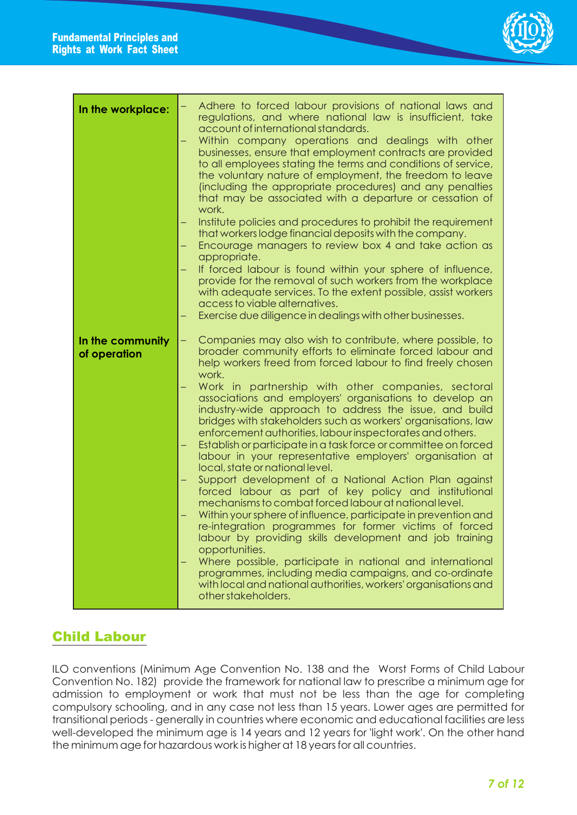

| In the workplace:                | Adhere to forced labour provisions of national laws and<br>regulations, and where national law is insufficient, take<br>account of international standards.<br>Within company operations and dealings with other<br>-<br>businesses, ensure that employment contracts are provided<br>to all employees stating the terms and conditions of service,<br>the voluntary nature of employment, the freedom to leave<br>(including the appropriate procedures) and any penalties<br>that may be associated with a departure or cessation of<br>work.<br>Institute policies and procedures to prohibit the requirement<br>-<br>that workers lodge financial deposits with the company.<br>Encourage managers to review box 4 and take action as<br>-<br>appropriate.<br>If forced labour is found within your sphere of influence,<br>provide for the removal of such workers from the workplace<br>with adequate services. To the extent possible, assist workers<br>access to viable alternatives.<br>Exercise due diligence in dealings with other businesses.                                                                                                                                                                                                                        |
|----------------------------------|------------------------------------------------------------------------------------------------------------------------------------------------------------------------------------------------------------------------------------------------------------------------------------------------------------------------------------------------------------------------------------------------------------------------------------------------------------------------------------------------------------------------------------------------------------------------------------------------------------------------------------------------------------------------------------------------------------------------------------------------------------------------------------------------------------------------------------------------------------------------------------------------------------------------------------------------------------------------------------------------------------------------------------------------------------------------------------------------------------------------------------------------------------------------------------------------------------------------------------------------------------------------------------|
| In the community<br>of operation | Companies may also wish to contribute, where possible, to<br>—<br>broader community efforts to eliminate forced labour and<br>help workers freed from forced labour to find freely chosen<br>work.<br>Work in partnership with other companies, sectoral<br>associations and employers' organisations to develop an<br>industry-wide approach to address the issue, and build<br>bridges with stakeholders such as workers' organisations, law<br>enforcement authorities, labour inspectorates and others.<br>Establish or participate in a task force or committee on forced<br>labour in your representative employers' organisation at<br>local, state or national level.<br>Support development of a National Action Plan against<br>forced labour as part of key policy and institutional<br>mechanisms to combat forced labour at national level.<br>Within your sphere of influence, participate in prevention and<br>re-integration programmes for former victims of forced<br>labour by providing skills development and job training<br>opportunities.<br>Where possible, participate in national and international<br>programmes, including media campaigns, and co-ordinate<br>with local and national authorities, workers' organisations and<br>other stakeholders. |

### Child Labour

ILO conventions (Minimum Age Convention No. 138 and the Worst Forms of Child Labour Convention No. 182) provide the framework for national law to prescribe a minimum age for admission to employment or work that must not be less than the age for completing compulsory schooling, and in any case not less than 15 years. Lower ages are permitted for transitional periods - generally in countries where economic and educational facilities are less well-developed the minimum age is 14 years and 12 years for 'light work'. On the other hand the minimum age for hazardous work is higher at 18 years for all countries.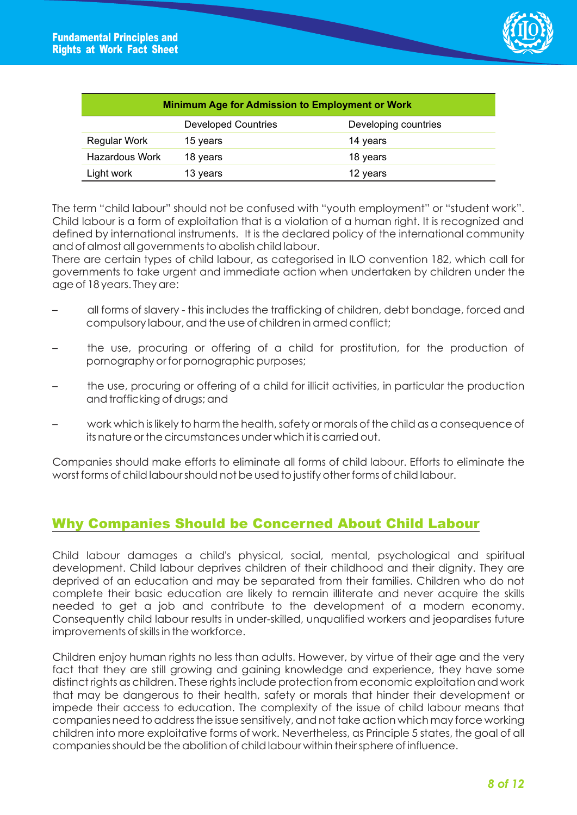

| <b>Minimum Age for Admission to Employment or Work</b> |                            |                      |
|--------------------------------------------------------|----------------------------|----------------------|
|                                                        | <b>Developed Countries</b> | Developing countries |
| <b>Regular Work</b>                                    | 15 years                   | 14 years             |
| Hazardous Work                                         | 18 years                   | 18 years             |
| Light work                                             | 13 years                   | 12 years             |

The term "child labour" should not be confused with "youth employment" or "student work". Child labour is a form of exploitation that is a violation of a human right. It is recognized and defined by international instruments. It is the declared policy of the international community and of almost all governments to abolish child labour.

There are certain types of child labour, as categorised in ILO convention 182, which call for governments to take urgent and immediate action when undertaken by children under the age of 18 years. They are:

- all forms of slavery this includes the trafficking of children, debt bondage, forced and compulsory labour, and the use of children in armed conflict;
- the use, procuring or offering of a child for prostitution, for the production of pornography or for pornographic purposes;
- the use, procuring or offering of a child for illicit activities, in particular the production and trafficking of drugs; and
- work which is likely to harm the health, safety or morals of the child as a consequence of its nature or the circumstances under which it is carried out.

Companies should make efforts to eliminate all forms of child labour. Efforts to eliminate the worst forms of child labour should not be used to justify other forms of child labour.

#### Why Companies Should be Concerned About Child Labour

Child labour damages a child's physical, social, mental, psychological and spiritual development. Child labour deprives children of their childhood and their dignity. They are deprived of an education and may be separated from their families. Children who do not complete their basic education are likely to remain illiterate and never acquire the skills needed to get a job and contribute to the development of a modern economy. Consequently child labour results in under-skilled, unqualified workers and jeopardises future improvements of skills in the workforce.

Children enjoy human rights no less than adults. However, by virtue of their age and the very fact that they are still growing and gaining knowledge and experience, they have some distinct rights as children. These rights include protection from economic exploitation and work that may be dangerous to their health, safety or morals that hinder their development or impede their access to education. The complexity of the issue of child labour means that companies need to address the issue sensitively, and not take action which may force working children into more exploitative forms of work. Nevertheless, as Principle 5 states, the goal of all companies should be the abolition of child labour within their sphere of influence.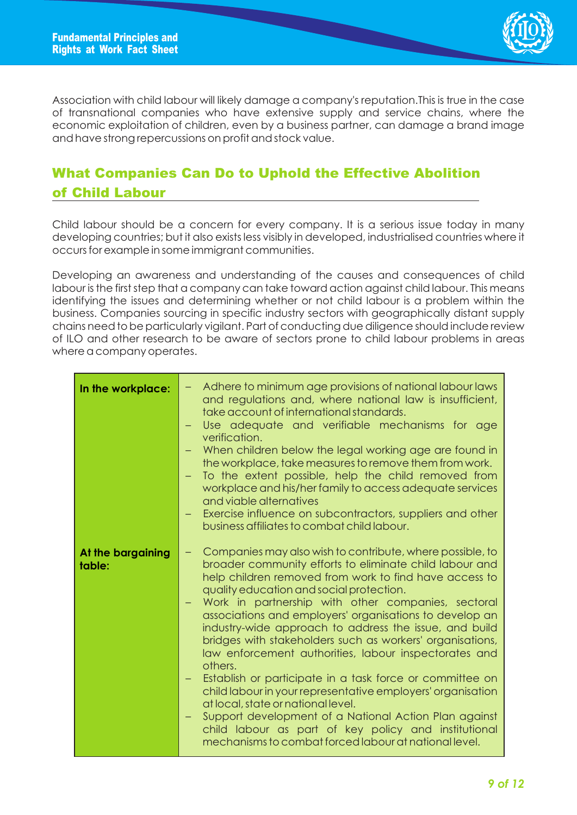

Association with child labour will likely damage a company's reputation.This is true in the case of transnational companies who have extensive supply and service chains, where the economic exploitation of children, even by a business partner, can damage a brand image and have strong repercussions on profit and stock value.

# What Companies Can Do to Uphold the Effective Abolition of Child Labour

Child labour should be a concern for every company. It is a serious issue today in many developing countries; but it also exists less visibly in developed, industrialised countries where it occurs for example in some immigrant communities.

Developing an awareness and understanding of the causes and consequences of child labour is the first step that a company can take toward action against child labour. This means identifying the issues and determining whether or not child labour is a problem within the business. Companies sourcing in specific industry sectors with geographically distant supply chains need to be particularly vigilant. Part of conducting due diligence should include review of ILO and other research to be aware of sectors prone to child labour problems in areas where a company operates.

| In the workplace:           | Adhere to minimum age provisions of national labour laws<br>$-$<br>and regulations and, where national law is insufficient,<br>take account of international standards.<br>Use adequate and verifiable mechanisms for age<br>verification.<br>When children below the legal working age are found in<br>the workplace, take measures to remove them from work.<br>To the extent possible, help the child removed from<br>workplace and his/her family to access adequate services<br>and viable alternatives<br>Exercise influence on subcontractors, suppliers and other<br>$\qquad \qquad -$<br>business affiliates to combat child labour.                                                                                                                                                                                                                                                          |
|-----------------------------|--------------------------------------------------------------------------------------------------------------------------------------------------------------------------------------------------------------------------------------------------------------------------------------------------------------------------------------------------------------------------------------------------------------------------------------------------------------------------------------------------------------------------------------------------------------------------------------------------------------------------------------------------------------------------------------------------------------------------------------------------------------------------------------------------------------------------------------------------------------------------------------------------------|
| At the bargaining<br>table: | Companies may also wish to contribute, where possible, to<br>$\qquad \qquad -$<br>broader community efforts to eliminate child labour and<br>help children removed from work to find have access to<br>quality education and social protection.<br>Work in partnership with other companies, sectoral<br>associations and employers' organisations to develop an<br>industry-wide approach to address the issue, and build<br>bridges with stakeholders such as workers' organisations,<br>law enforcement authorities, labour inspectorates and<br>others.<br>Establish or participate in a task force or committee on<br>child labour in your representative employers' organisation<br>at local, state or national level.<br>Support development of a National Action Plan against<br>child labour as part of key policy and institutional<br>mechanisms to combat forced labour at national level. |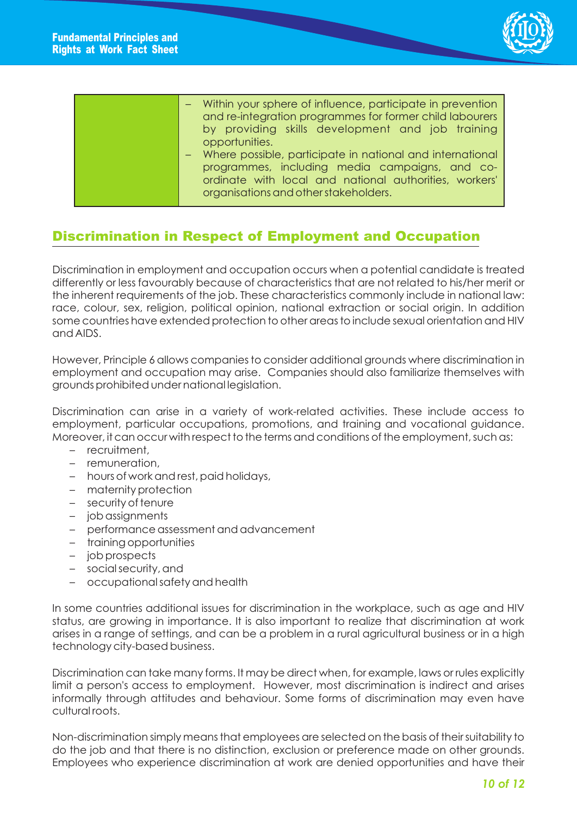

| Within your sphere of influence, participate in prevention  |
|-------------------------------------------------------------|
| and re-integration programmes for former child labourers    |
| by providing skills development and job training            |
| opportunities.                                              |
| - Where possible, participate in national and international |
|                                                             |

programmes, including media campaigns, and coordinate with local and national authorities, workers' organisations and other stakeholders.

#### Discrimination in Respect of Employment and Occupation

Discrimination in employment and occupation occurs when a potential candidate is treated differently or less favourably because of characteristics that are not related to his/her merit or the inherent requirements of the job. These characteristics commonly include in national law: race, colour, sex, religion, political opinion, national extraction or social origin. In addition some countries have extended protection to other areas to include sexual orientation and HIV and AIDS.

However, Principle 6 allows companies to consider additional grounds where discrimination in employment and occupation may arise. Companies should also familiarize themselves with grounds prohibited under national legislation.

Discrimination can arise in a variety of work-related activities. These include access to employment, particular occupations, promotions, and training and vocational guidance. Moreover, it can occur with respect to the terms and conditions of the employment, such as:

- recruitment,
- remuneration,
- hours of work and rest, paid holidays,
- maternity protection
- security of tenure
- job assignments
- performance assessment and advancement
- training opportunities
- job prospects
- social security, and
- occupational safety and health

In some countries additional issues for discrimination in the workplace, such as age and HIV status, are growing in importance. It is also important to realize that discrimination at work arises in a range of settings, and can be a problem in a rural agricultural business or in a high technology city-based business.

Discrimination can take many forms. It may be direct when, for example, laws or rules explicitly limit a person's access to employment. However, most discrimination is indirect and arises informally through attitudes and behaviour. Some forms of discrimination may even have cultural roots.

Non-discrimination simply means that employees are selected on the basis of their suitability to do the job and that there is no distinction, exclusion or preference made on other grounds. Employees who experience discrimination at work are denied opportunities and have their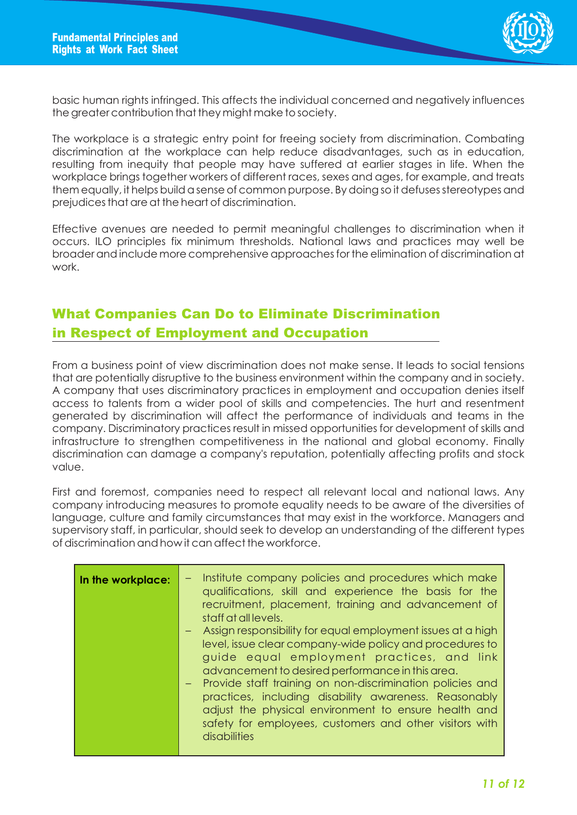

basic human rights infringed. This affects the individual concerned and negatively influences the greater contribution that they might make to society.

The workplace is a strategic entry point for freeing society from discrimination. Combating discrimination at the workplace can help reduce disadvantages, such as in education, resulting from inequity that people may have suffered at earlier stages in life. When the workplace brings together workers of different races, sexes and ages, for example, and treats them equally, it helps build a sense of common purpose. By doing so it defuses stereotypes and prejudices that are at the heart of discrimination.

Effective avenues are needed to permit meaningful challenges to discrimination when it occurs. ILO principles fix minimum thresholds. National laws and practices may well be broader and include more comprehensive approaches for the elimination of discrimination at work.

# What Companies Can Do to Eliminate Discrimination in Respect of Employment and Occupation

From a business point of view discrimination does not make sense. It leads to social tensions that are potentially disruptive to the business environment within the company and in society. A company that uses discriminatory practices in employment and occupation denies itself access to talents from a wider pool of skills and competencies. The hurt and resentment generated by discrimination will affect the performance of individuals and teams in the company. Discriminatory practices result in missed opportunities for development of skills and infrastructure to strengthen competitiveness in the national and global economy. Finally discrimination can damage a company's reputation, potentially affecting profits and stock value.

First and foremost, companies need to respect all relevant local and national laws. Any company introducing measures to promote equality needs to be aware of the diversities of language, culture and family circumstances that may exist in the workforce. Managers and supervisory staff, in particular, should seek to develop an understanding of the different types of discrimination and how it can affect the workforce.

| In the workplace: | Institute company policies and procedures which make                                                          |
|-------------------|---------------------------------------------------------------------------------------------------------------|
|                   | qualifications, skill and experience the basis for the<br>recruitment, placement, training and advancement of |
|                   | staff at all levels.                                                                                          |
|                   | - Assign responsibility for equal employment issues at a high                                                 |
|                   | level, issue clear company-wide policy and procedures to                                                      |
|                   | guide equal employment practices, and link                                                                    |
|                   | advancement to desired performance in this area.                                                              |
|                   | - Provide staff training on non-discrimination policies and                                                   |
|                   | practices, including disability awareness. Reasonably                                                         |
|                   | adjust the physical environment to ensure health and                                                          |
|                   | safety for employees, customers and other visitors with<br>disabilities                                       |
|                   |                                                                                                               |